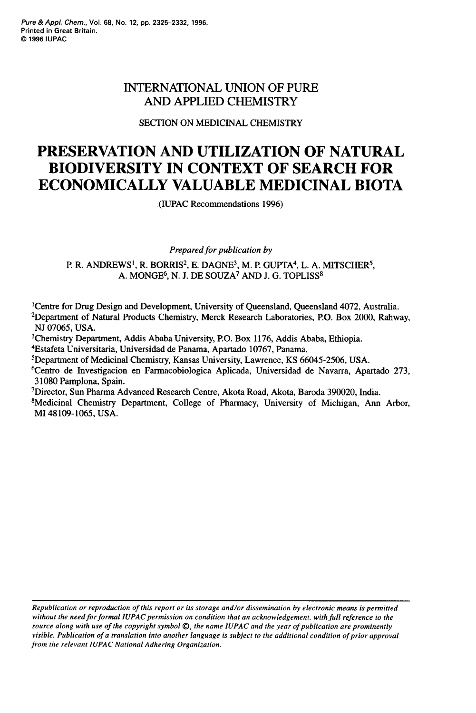*Pure & Appl. Chem., Vol. 68, No. 12, pp. 2325-2332, 1996.* **Printed in Great Britain.**  Q **1996 IUPAC** 

# INTERNATIONAL UNION OF PURE AND APPLIED CHEMISTRY

SECTION ON MEDICINAL CHEMISTRY

# **PRESERVATION AND UTILIZATION OF NATURAL BIODIVERSITY IN CONTEXT OF SEARCH FOR ECONOMICALLY VALUABLE MEDICINAL BIOTA**

(ILTPAC Recommendations 1996)

*Prepared for publication by* 

P. R. ANDREWS<sup>1</sup>, R. BORRIS<sup>2</sup>, E. DAGNE<sup>3</sup>, M. P. GUPTA<sup>4</sup>, L. A. MITSCHER<sup>5</sup>, A. MONGE<sup>6</sup>, N. J. DE SOUZA<sup>7</sup> AND J. G. TOPLISS<sup>8</sup>

<sup>1</sup>Centre for Drug Design and Development, University of Queensland, Queensland 4072, Australia. 2Department of Natural Products Chemistry, Merck Research Laboratories, P.O. Box 2000, Rahway, NJ 07065, USA.

3Chemistry Department, Addis Ababa University, P.O. **Box** 1176, Addis Ababa, Ethiopia.

4Estafeta Universitaria, Universidad de Panama, Apartado 10767, Panama.

5Department of Medicinal Chemistry, Kansas University, Lawrence, KS 66045-2506, USA.

%entro de Investigacion en Farmacobiologica Aplicada, Universidad de Navarra, Apartado 273, 3 1080 Pamplona, Spain.

'Director, Sun Pharma Advanced Research Centre, Akota Road, Akota, Baroda 390020, India.

<sup>8</sup>Medicinal Chemistry Department, College of Pharmacy, University of Michigan, Ann Arbor, MI 48109-1065. USA.

*Republication or reproduction of this report or its storage and/or dissemination by electronic means is permitted*  without the need for formal IUPAC permission on condition that an acknowledgement, with full reference to the *source along with use of the copyright symbol 0, the name IUPAC and the year of publication are prominently visible. Publication of a translation into another language is subject to the additional condition of prior approval from the relevant IUPAC National Adhering Organization.*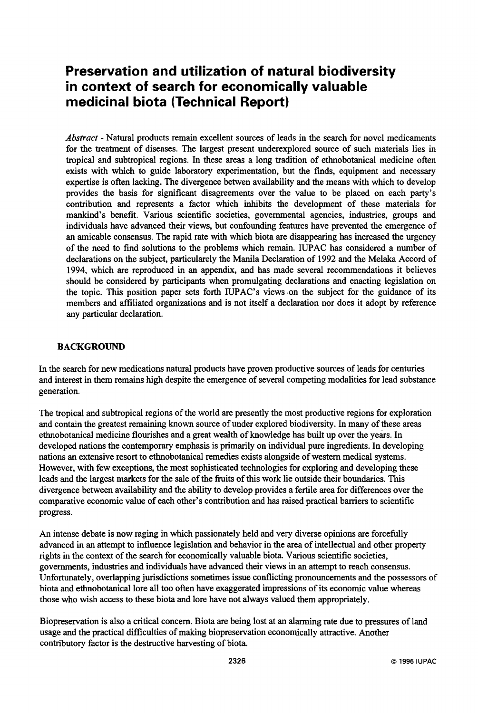# **Preservation and utilization of natural biodiversity in context of search for economically valuable medicinal biota (Technical Report)**

*Abstract* - Natural products remain excellent sources of leads in the search for novel medicaments for the treatment of diseases. The largest present underexplored source of such materials lies in tropical and subtropical regions. In these areas a long tradition of ethnobotanical medicine often exists with which to guide laboratory experimentation, but the finds, equipment and necessary expertise is often lacking. The divergence betwen availability and the means with which to develop provides the basis for significant disagreements over the value to be placed on each party's contribution and represents a factor which inhibits the development of these materials for mankind's benefit. Various scientific societies, governmental agencies, industries, groups and individuals have advanced their views, but confounding features have prevented the emergence of an amicable consensus. The rapid rate with which biota are disappearing has increased the urgency of the need to find solutions to the problems which remain. IUPAC has considered a number of declarations on the subject, particularely the Manila Declaration of 1992 and the Melaka Accord of 1994, which are reproduced in an appendix, and has made several recommendations it believes should be considered by participants when promulgating declarations and enacting legislation on the topic. This position paper sets forth IUPAC's views .on the subject for the guidance of its members and affiliated organizations and is not itself a declaration nor does it adopt by reference any particular declaration.

#### **BACKGROUND**

In the search for new medications natural products have proven productive sources of leads for centuries and interest in them remains high despite the emergence of several competing modalities for lead substance generation.

The tropical and subtropical regions of the world are presently the most productive regions for exploration and contain the greatest remaining known source of under explored biodiversity. In many of these areas ethnobotanical medicine flourishes and a great wealth of knowledge has built up over the years. In developed nations the contemporary emphasis is primarily on individual pure ingredients. In developing nations an extensive resort to ethnobotanical remedies exists alongside of western medical systems. However, with few exceptions, the most sophisticated technologies for exploring and developing these leads and the largest markets for the sale of the fruits of this work lie outside their boundaries. This divergence between availability and the ability to develop provides a fertile area for differences over the comparative economic value of each other's contribution and has raised practical barriers to scientific progress.

An intense debate is now raging in which passionately held and very diverse opinions are forcefully advanced in an attempt to influence legislation and behavior in the area of intellectual and other property **rights** in the context of the search for economically valuable biota. Various scientific societies, governments, industries and individuals have advanced their views in an attempt to reach consensus. Unfortunately, overlapping jurisdictions sometimes issue conflicting pronouncements and the possessors of biota and ethnobotanical lore all too often have exaggerated impressions of its economic value whereas those who wish access to these biota and lore have not always valued them appropriately.

Biopreservation is also a critical concern. Biota are being lost at an alarming rate due to pressures of land usage and the practical difficulties of making biopreservation economically attractive. Another contributory factor is the destructive harvesting of biota.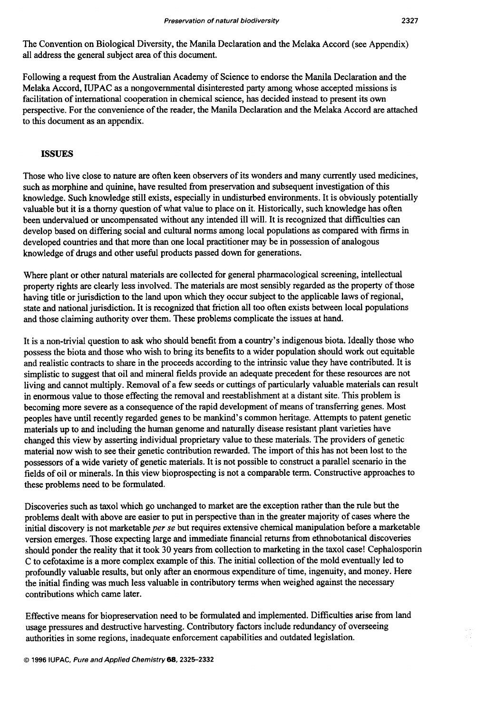The Convention on Biological Diversity, the Manila Declaration and the Melaka Accord (see Appendix) all address the general subject area of this document.

Following a request from the Australian Academy of Science to endorse the Manila Declaration and the Melaka Accord, IUPAC **as** a nongovernmental disinterested party among whose accepted missions is facilitation of international cooperation in chemical science, has decided instead to present its own perspective. For the convenience of the reader, the Manila Declaration and the Melaka Accord are attached to this document **as** an appendix.

#### **ISSUES**

Those who live close to nature are often keen observers of its wonders and many currently used medicines, such **as** morphine and quinine, have resulted from preservation and subsequent investigation of this knowledge. Such knowledge still exists, especially in undisturbed environments. It is obviously potentially valuable but it is a thorny question of what value to place on it. Historically, such knowledge has often been undervalued or uncompensated without any intended ill will. It is recognized that difficulties can develop based on differing social and cultural norms among local populations **as** compared with firms in developed countries and that more than one local practitioner may be in possession of analogous knowledge of drugs and other useful products passed down for generations.

Where plant or other natural materials are collected for general pharmacological screening, intellectual property rights are clearly less involved. The materials are most sensibly regarded **as** the property of those having title or jurisdiction to the land upon which they occur subject to the applicable laws of regional, state and national jurisdiction. It is recognized that friction all too often exists between local populations and those claiming authority over them. These problems complicate the issues at hand.

It is a non-trivial question to ask who should benefit from a country's indigenous biota. Ideally those who possess the biota and those who wish to bring its benefits to a wider population should work out equitable and realistic contracts to share in the proceeds according to the intrinsic value they have contributed. It is simplistic to suggest that oil and mineral fields provide an adequate precedent for these resources are not living and cannot multiply. Removal of a few seeds or cuttings of particularly valuable materials can result in enormous value to those effecting the removal and reestablishment at a distant site. This problem is becoming more severe **as** a consequence of the rapid development of means of transferring genes. Most peoples have until recently regarded genes to be mankind's common heritage. Attempts to patent genetic materials up to and including the human genome and naturally disease resistant plant varieties have changed this view by asserting individual proprietary value to these materials. The providers of genetic material now wish to see their genetic contribution rewarded. The import of this has not been lost to the possessors of a wide variety of genetic materials. It is not possible to construct a parallel scenario in the fields of oil or minerals. In this view bioprospecting is not a comparable term. Constructive approaches to these problems need to be formulated.

Discoveries such **as** taxol which go unchanged to market are the exception rather than the rule but the problems dealt with above are easier to put in perspective than in the greater majority of cases where the initial discovery is not marketable per **se** but requires extensive chemical manipulation before a marketable version emerges. Those expecting large and immediate financial returns fiom ethnobotanical discoveries should ponder the reality that it took 30 years from collection to marketing in the taxol case! Cephalosporin C to cefotaxime is a more complex example of this. The initial collection of the mold eventually led to profoundly valuable results, but **only** after an enormous expenditure of time, ingenuity, and money. Here the initial finding was much less valuable in contributory terms when weighed against the necessary contributions which came later.

Effective means for biopreservation need to be formulated and implemented. Difficulties arise from land usage pressures and destructive harvesting. Contributory factors include redundancy of overseeing authorities in some regions, inadequate enforcement capabilities and outdated legislation.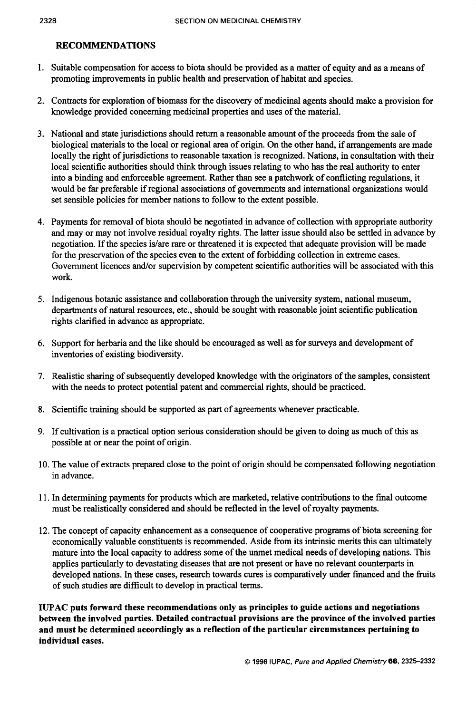#### **RECOMMENDATIONS**

- 1. Suitable compensation for access to biota should be provided **as** a matter of equity and **as** a means of promoting improvements in public health and preservation of habitat and species.
- **2.**  Contracts for exploration of biomass for the discovery of medicinal agents should make a provision for knowledge provided concerning medicinal properties and uses of the material.
- **3.**  National and state jurisdictions should return a reasonable amount of the proceeds from the sale of biological materials to the local or regional area of origin. On the other hand, if arrangements are made locally the right of jurisdictions to reasonable taxation is recognized. Nations, in consultation with their local scientific authorities should think through issues relating to who has the real authority to enter into a binding and enforceable agreement. Rather than see a patchwork of conflicting regulations, it would be far preferable if regional associations of governments and international organizations would set sensible policies for member nations to follow to the extent possible.
- **4.**  Payments for removal of biota should be negotiated in advance of collection with appropriate authority and may or may not involve residual royalty rights. The latter issue should also be settled in advance by negotiation. If the species is/are rare or threatened it is expected that adequate provision will be made for the preservation of the species even to the extent of forbidding collection in extreme cases. Government licences and/or supervision by competent scientific authorities will be associated with this work.
- *5.*  Indigenous botanic assistance and collaboration through the university system, national museum, departments of natural resources, etc., should be sought with reasonable joint scientific publication rights clarified in advance **as** appropriate.
- *6.*  Support for herbaria and the like should be encouraged **as** well **as** for surveys and development of inventories of existing biodiversity.
- 7. Realistic sharing of subsequently developed knowledge with the originators of the samples, consistent with the needs to protect potential patent and commercial rights, should be practiced.
- **8.**  Scientific training should be supported **as** part of agreements whenever practicable.
- **9.**  If cultivation is a practical option serious consideration should be given to doing **as** much of this **as**  possible at or near the point of origin.
- 10. The value of extracts prepared close to the point of origin should be compensated following negotiation in advance.
- 1 1. In determining payments for products which are marketed, relative contributions to the final outcome must be realistically considered and should be reflected in the level of royalty payments.
- 12. The concept of capacity enhancement **as** a consequence of cooperative programs of biota screening for economically valuable constituents is recommended. Aside from its intrinsic merits this can ultimately mature into the local capacity to address some of the unmet medical needs of developing nations. This applies particularly to devastating diseases that are not present or have no relevant counterparts in developed nations. In these cases, research towards cures is comparatively under financed and the fruits of such studies are difficult to develop in practical terms.

**IUPAC puts forward these recommendations only as principles** to **guide actions and negotiations between the involved parties. Detailed contractual provisions are the province of the involved parties and must be determined accordingly as a reflection of the particular circumstances pertaining to individual cases.**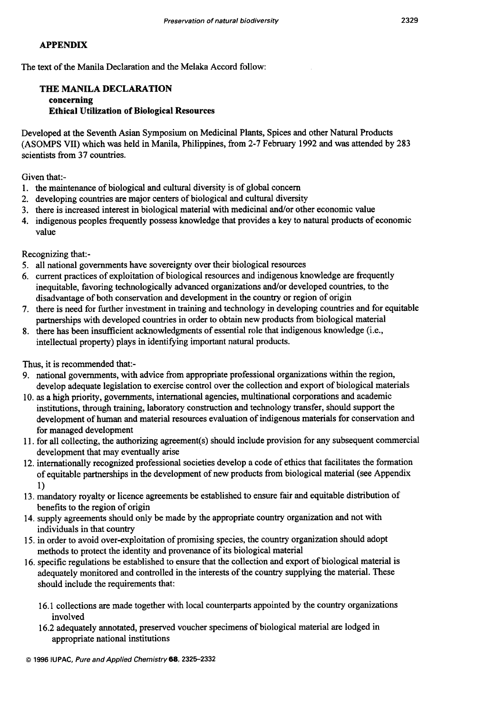#### **APPENDIX**

The text of the Manila Declaration and the Melaka Accord follow:

#### **THE MANILA DECLARATION concerning Ethical Utilization of Biological Resources**

Developed at the Seventh Asian Symposium on Medicinal Plants, Spices and other Natural Products (ASOMPS VII) which was held in Manila, Philippines, from 2-7 February 1992 and was attended by 283 scientists from 37 countries.

Given that:-

- 1. the maintenance of biological and cultural diversity is of global concern
- 2. developing countries are major centers of biological and cultural diversity
- 3. there is increased interest in biological material with medicinal and/or other economic value
- 4. indigenous peoples frequently possess knowledge that provides a key to natural products of economic value

Recognizing that:-

- *5.* all national governments have sovereignty over their biological resources
- 6. current practices of exploitation of biological resources and indigenous knowledge are frequently inequitable, favoring technologically advanced organizations and/or developed countries, to the disadvantage of both conservation and development in the country or region of origin
- 7. there is need for further investment in training and technology in developing countries and for equitable partnerships with developed countries in order to obtain new products from biological material
- 8. there has been insufficient acknowledgments of essential role that indigenous knowledge (i.e., intellectual property) plays in identifying important natural products.

**Thus,** it is recommended that:-

- 9. national governments, with advice from appropriate professional organizations within the region, develop adequate legislation to exercise control over the collection and export of biological materials
- 10. **as** a high priority, governments, international agencies, multinational corporations and academic institutions, through training, laboratory construction and technology transfer, should support the development of human and material resources evaluation of indigenous materials for conservation and for managed development
- 11. for all collecting, the authorizing agreement(s) should include provision for any subsequent commercial development that may eventually arise
- 12. internationally recognized professional societies develop a code of ethics that facilitates the formation of equitable partnerships in the development of new products from biological material (see Appendix 1)
- 13. mandatory royalty or licence agreements be established to ensure fair and equitable distribution of benefits to the region of origin
- 14. supply agreements should only be made by the appropriate country organization and not with individuals in that country
- 15. in order to avoid over-exploitation of promising species, the country organization should adopt methods to protect the identity and provenance of its biological material
- 16. specific regulations be established to ensure that the collection and export of biological material is adequately monitored and controlled in the interests of the country supplying the material. These should include the requirements that:
	- 16.1 collections are made together with local counterparts appointed by the country organizations involved
	- 16.2 adequately annotated, preserved voucher specimens of biological material are lodged in appropriate national institutions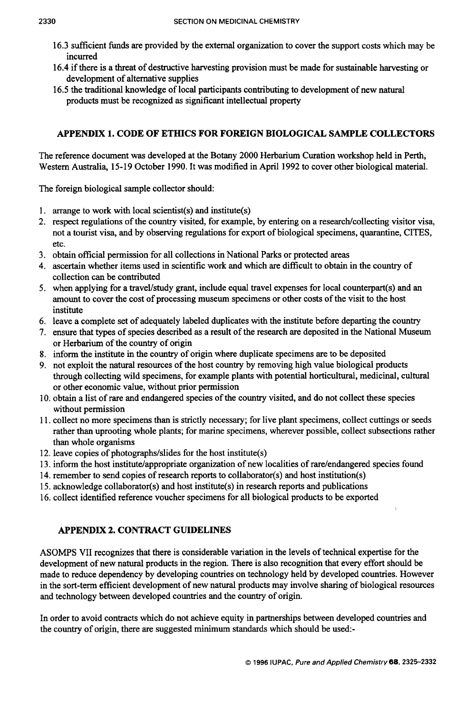- 16.3 sufficient funds are provided by the external organization to cover the support costs which may be incurred
- 16.4 if there is a threat of destructive harvesting provision must be made for sustainable harvesting or development of alternative supplies
- 16.5 the traditional knowledge of local participants contributing to development of new natural products must be recognized **as** significant intellectual property

### **APPENDIX 1. CODE OF ETHICS FOR FOREIGN BIOLOGICAL SAMPLE COLLECTORS**

The reference document was developed at the Botany 2000 Herbarium Curation workshop held in Perth, Western Australia, 15-19 October 1990. It was modified in April 1992 to cover other biological material.

The foreign biological sample collector should:

- 1. arrange to work with local scientist(s) and institute(s)
- 2. respect regulations of the country visited, for example, by entering on a researchlcollecting visitor visa, not a tourist visa, and by observing regulations for export of biological specimens, quarantine, CITES, etc.
- 3. obtain official permission for all collections in National Parks or protected areas
- 4. ascertain whether items used in scientific work and which are difficult to obtain in the country of collection can be contributed
- *5.* when applying for a travel/study grant, include equal travel expenses for local counterpart(s) and an amount to cover the cost of processing museum specimens or other costs of the visit to the host institute
- 6. leave a complete set of adequately labeled duplicates with the institute before departing the country
- 7. ensure that types of species described **as** a result of the research are deposited in the National Museum or Herbarium of the country of origin
- 8. inform the institute in the country of origin where duplicate specimens are to be deposited
- 9. not exploit the natural resources of the host country by removing high value biological products **through** collecting wild specimens, for example plants with potential horticultural, medicinal, cultural or other economic value, without prior permission
- without permission 10. obtain a list of rare and endangered species of the country visited, and do not collect these species
- rather than uprooting whole plants; for marine specimens, wherever possible, collect subsections rather than whole organisms 1 1. collect no more specimens than is strictly necessary; for live plant specimens, collect cuttings or seeds
- 12. leave copies of photographs/slides for the host institute(s)
- 13. inform the host institute/appropriate organization of new localities of rare/endangered species found
- 14. remember to send copies of research reports to collaborator(s) and host institution(s)
- 15. acknowledge collaborator(s) and host institute(s) in research reports and publications
- 16. collect identified reference voucher specimens for all biological products to be exported

# **APPENDIX 2. CONTRACT GUIDELINES**

ASOMPS VII recognizes that there is considerable variation in the levels of technical expertise for the development of new natural products in the region. There is also recognition that every effort should be made to reduce dependency by developing countries on technology held by developed countries. However in the sort-term efficient development of new natural products may involve sharing of biological resources and technology between developed countries and the country of origin.

**In** order to avoid contracts which do not achieve equity in partnerships between developed countries and the country of origin, there are suggested minimum standards which should be used:-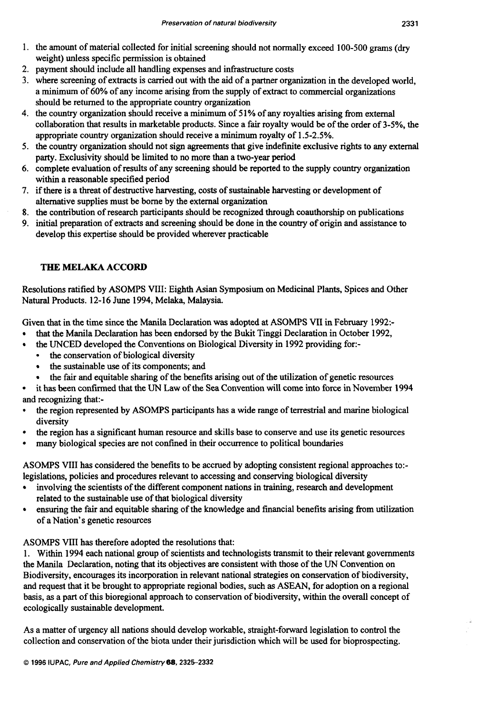- 1. the amount of material collected for initial screening should not normally exceed 100-500 grams *(dry*  weight) unless specific permission is obtained
- 2. payment should include all handling expenses and infrastructure costs
- 3. where screening of extracts is carried out with the aid of a partner organization in the developed world, a minimum of 60% of any income arising from the supply of extract to commercial organizations should be retumed to the appropriate country organization
- 4. the country organization should receive a minimum of 5 1% of any royalties arising from external collaboration that results in marketable products. Since a fair royalty would be of the order of 3-5%, the appropriate country organization should receive a minimum royalty of 1.5-2.5%.
- 5. the country organization should not sign agreements that give indefinite exclusive rights to any external party. Exclusivity should be limited to no more than a two-year period
- 6. complete evaluation of results of any screening should be reported to the supply country organization within a reasonable specified period
- 7. if there is a threat of destructive harvesting, **costs** of sustainable harvesting or development of alternative supplies must be borne by the external organization
- 8. the contribution of research participants should be recognized through coauthorship on publications
- 9. initial preparation of extracts and screening should be done in the country of origin and assistance to develop this expertise should be provided wherever practicable

# **THE MELAKA ACCORD**

Resolutions ratified by ASOMPS VIII: Eighth Asian Symposium on Medicinal Plants, Spices and Other Natural Products. 12- 16 June 1994, Melaka, Malaysia.

Given that in the time since the Manila Declaration was adopted at ASOMPS VII in February 1992:-

- that the Manila Declaration has been endorsed by the Bukit Tinggi Declaration in October 1992,  $\bullet$
- the UNCED developed the Conventions on Biological Diversity in 1992 providing for:-  $\bullet$ 
	- the conservation of biological diversity
	- the sustainable use of its components; and  $\bullet$
	- the fair and equitable sharing of the benefits arising out of the utilization of genetic resources
- it **has** been **confirmed** that the UN Law of the Sea Convention will come into force in November 1994 and recognizing that:-
- the region represented by ASOMPS participants has a wide range of terrestrial and marine biological diversity \*
- the region has a significant human resource and skills base to conserve and use its genetic resources
- $\bullet$ many biological species are not confined in their occurrence to political boundaries

ASOMPS VIII has considered the benefits to be accrued by adopting consistent regional approaches to: legislations, policies and procedures relevant to accessing and conserving biological diversity

- involving the scientists of the different component nations in training, research and development related to the sustainable use of that biological diversity
- ensuring the fair and equitable sharing of the knowledge and financial benefits arising from utilization  $\bullet$ of a Nation's genetic resources

#### ASOMPS VIII has therefore adopted the resolutions that:

1. Within 1994 each national group of scientists and technologists transmit to their relevant governments the Manila Declaration, noting that its objectives are consistent with those of the UN Convention on Biodiversity, encourages its incorporation in relevant national strategies on conservation of biodiversity, and request that it be brought to appropriate regional bodies, such **as** ASEAN, for adoption on a regional basis, **as** a part of this bioregional approach to conservation of biodiversity, within the overall concept of ecologically sustainable development.

As a matter of urgency all nations should develop workable, straight-forward legislation to control the collection and conservation of the biota under their jurisdiction which will be used for bioprospecting.